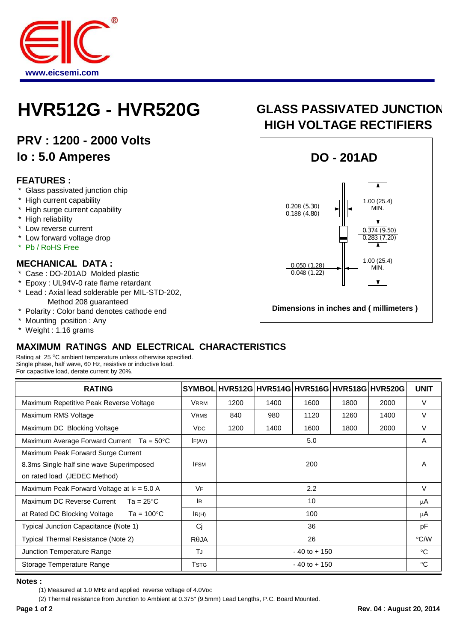

## **HVR512G - HVR520G GLASS PASSIVATED JUNCTION**

**PRV : 1200 - 2000 Volts Io : 5.0 Amperes**

#### **FEATURES :**

- \* Glass passivated junction chip
- \* High current capability
- \* High surge current capability
- \* High reliability
- \* Low reverse current
- \* Low forward voltage drop
- \* Pb / RoHS Free

#### **MECHANICAL DATA :**

- \* Case : DO-201AD Molded plastic
- \* Epoxy : UL94V-0 rate flame retardant
- \* Lead : Axial lead solderable per MIL-STD-202,
- Method 208 guaranteed
- \* Polarity : Color band denotes cathode end
- Mounting position : Any
- Weight : 1.16 grams

### **MAXIMUM RATINGS AND ELECTRICAL CHARACTERISTICS**

Rating at 25 °C ambient temperature unless otherwise specified. Single phase, half wave, 60 Hz, resistive or inductive load. For capacitive load, derate current by 20%.

| <b>RATING</b>                                        |                 |                  |      |      |      | SYMBOL HVR512G HVR514G HVR516G HVR518G HVR520G | <b>UNIT</b>   |
|------------------------------------------------------|-----------------|------------------|------|------|------|------------------------------------------------|---------------|
| Maximum Repetitive Peak Reverse Voltage              | <b>VRRM</b>     | 1200             | 1400 | 1600 | 1800 | 2000                                           | $\vee$        |
| Maximum RMS Voltage                                  | <b>VRMS</b>     | 840              | 980  | 1120 | 1260 | 1400                                           | $\vee$        |
| Maximum DC Blocking Voltage                          | V <sub>DC</sub> | 1200             | 1400 | 1600 | 1800 | 2000                                           | $\vee$        |
| Maximum Average Forward Current<br>Ta = 50°C         | IF(AV)          | 5.0              |      |      |      |                                                | A             |
| Maximum Peak Forward Surge Current                   |                 |                  |      |      |      |                                                |               |
| 8.3ms Single half sine wave Superimposed             | <b>IFSM</b>     | 200              |      |      |      |                                                | A             |
| on rated load (JEDEC Method)                         |                 |                  |      |      |      |                                                |               |
| Maximum Peak Forward Voltage at $F = 5.0 A$          | <b>VF</b>       | $2.2\phantom{0}$ |      |      |      |                                                | $\vee$        |
| Maximum DC Reverse Current<br>$Ta = 25^{\circ}C$     | lR.             | 10               |      |      |      |                                                | μA            |
| Ta = $100^{\circ}$ C<br>at Rated DC Blocking Voltage | IR(H)           | 100              |      |      |      |                                                | μA            |
| Typical Junction Capacitance (Note 1)                | Cj              | 36               |      |      |      |                                                | pF            |
| Typical Thermal Resistance (Note 2)                  | $R\theta$ JA    | 26               |      |      |      |                                                | $\degree$ C/W |
| Junction Temperature Range                           | TJ              | $-40$ to $+150$  |      |      |      |                                                | °C            |
| Storage Temperature Range                            | <b>T</b> STG    | $-40$ to $+150$  |      |      |      |                                                | °C            |

**Notes :**

(2) Thermal resistance from Junction to Ambient at 0.375" (9.5mm) Lead Lengths, P.C. Board Mounted.

# **HIGH VOLTAGE RECTIFIERS**



<sup>(1)</sup> Measured at 1.0 MHz and applied reverse voltage of 4.0VDC